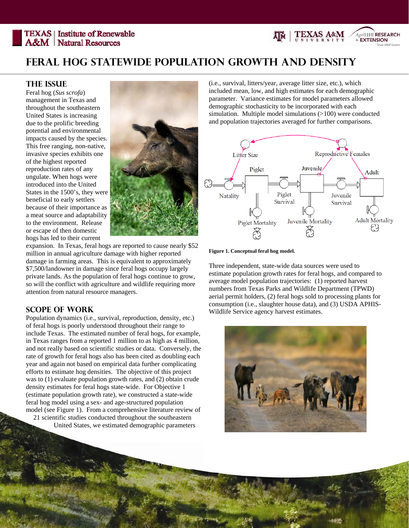**TEXAS** | Institute of Renewable **A&M** Natural Resources



## **The Issue**

Feral hog (*Sus scrofa*) management in Texas and throughout the southeastern United States is increasing due to the prolific breeding potential and environmental impacts caused by the species. This free ranging, non-native, invasive species exhibits one of the highest reported reproduction rates of any ungulate. When hogs were introduced into the United States in the 1500's, they were beneficial to early settlers because of their importance as a meat source and adaptability to the environment. Release or escape of then domestic hogs has led to their current



expansion. In Texas, feral hogs are reported to cause nearly \$52 million in annual agriculture damage with higher reported damage in farming areas. This is equivalent to approximately \$7,500/landowner in damage since feral hogs occupy largely private lands. As the population of feral hogs continue to grow, so will the conflict with agriculture and wildlife requiring more attention from natural resource managers.

## **Scope of Work**

Population dynamics (i.e., survival, reproduction, density, etc.) of feral hogs is poorly understood throughout their range to include Texas. The estimated number of feral hogs, for example, in Texas ranges from a reported 1 million to as high as 4 million, and not really based on scientific studies or data. Conversely, the rate of growth for feral hogs also has been cited as doubling each year and again not based on empirical data further complicating efforts to estimate hog densities. The objective of this project was to (1) evaluate population growth rates, and (2) obtain crude density estimates for feral hogs state-wide. For Objective 1 (estimate population growth rate), we constructed a state-wide feral hog model using a sex- and age-structured population model (see Figure 1). From a comprehensive literature review of 21 scientific studies conducted throughout the southeastern

United States, we estimated demographic parameters

(i.e., survival, litters/year, average litter size, etc.), which included mean, low, and high estimates for each demographic parameter. Variance estimates for model parameters allowed demographic stochasticity to be incorporated with each simulation. Multiple model simulations (>100) were conducted and population trajectories averaged for further comparisons.

AgriLIFE RESEARCH **& EXTENSION** 



**Figure 1. Conceptual feral hog model.** 

Three independent, state-wide data sources were used to estimate population growth rates for feral hogs, and compared to average model population trajectories: (1) reported harvest numbers from Texas Parks and Wildlife Department (TPWD) aerial permit holders, (2) feral hogs sold to processing plants for consumption (i.e., slaughter house data), and (3) USDA APHIS-Wildlife Service agency harvest estimates.